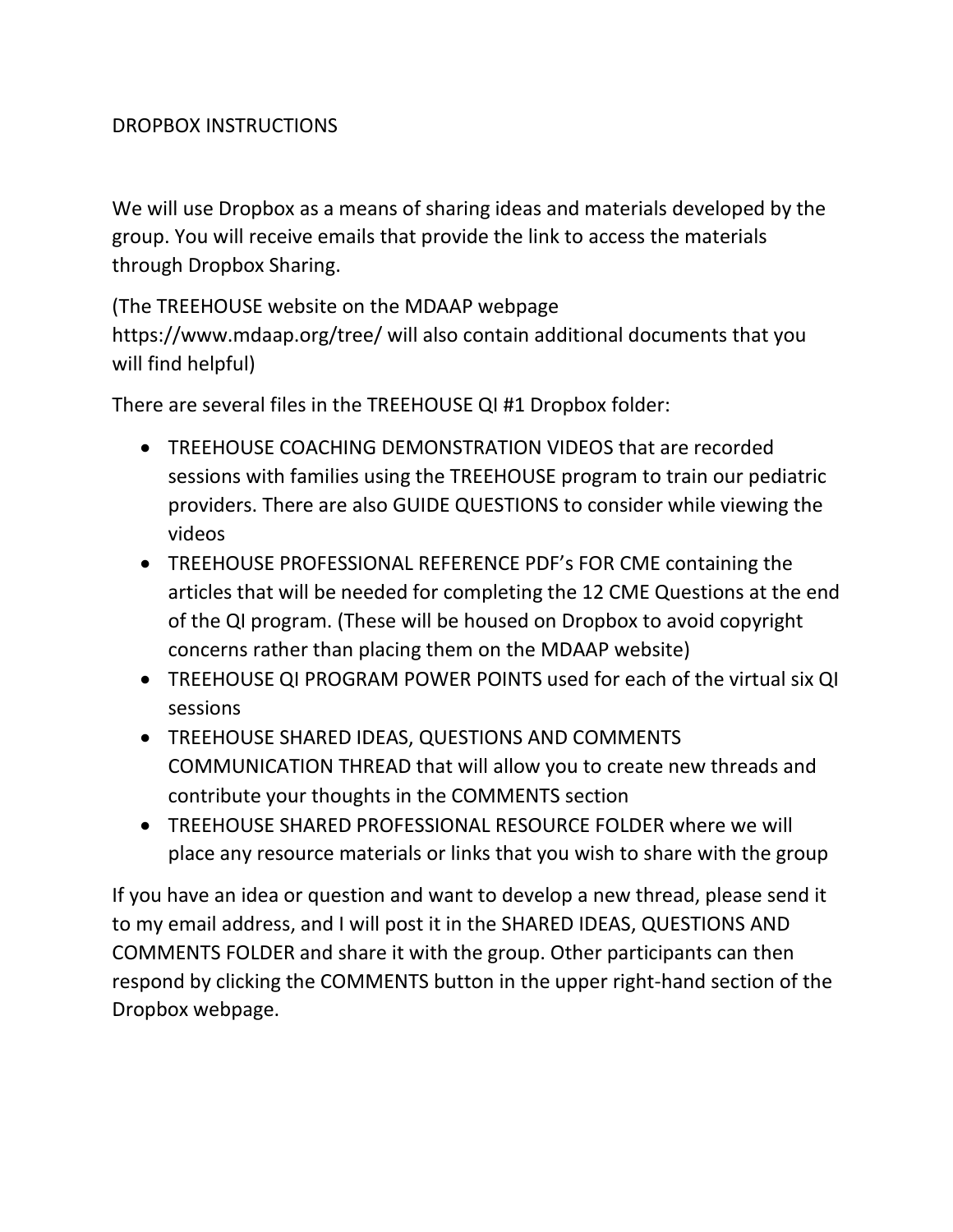## DROPBOX INSTRUCTIONS

We will use Dropbox as a means of sharing ideas and materials developed by the group. You will receive emails that provide the link to access the materials through Dropbox Sharing.

(The TREEHOUSE website on the MDAAP webpage https://www.mdaap.org/tree/ will also contain additional documents that you will find helpful)

There are several files in the TREEHOUSE QI #1 Dropbox folder:

- TREEHOUSE COACHING DEMONSTRATION VIDEOS that are recorded sessions with families using the TREEHOUSE program to train our pediatric providers. There are also GUIDE QUESTIONS to consider while viewing the videos
- TREEHOUSE PROFESSIONAL REFERENCE PDF's FOR CME containing the articles that will be needed for completing the 12 CME Questions at the end of the QI program. (These will be housed on Dropbox to avoid copyright concerns rather than placing them on the MDAAP website)
- TREEHOUSE QI PROGRAM POWER POINTS used for each of the virtual six QI sessions
- TREEHOUSE SHARED IDEAS, QUESTIONS AND COMMENTS COMMUNICATION THREAD that will allow you to create new threads and contribute your thoughts in the COMMENTS section
- TREEHOUSE SHARED PROFESSIONAL RESOURCE FOLDER where we will place any resource materials or links that you wish to share with the group

If you have an idea or question and want to develop a new thread, please send it to my email address, and I will post it in the SHARED IDEAS, QUESTIONS AND COMMENTS FOLDER and share it with the group. Other participants can then respond by clicking the COMMENTS button in the upper right-hand section of the Dropbox webpage.